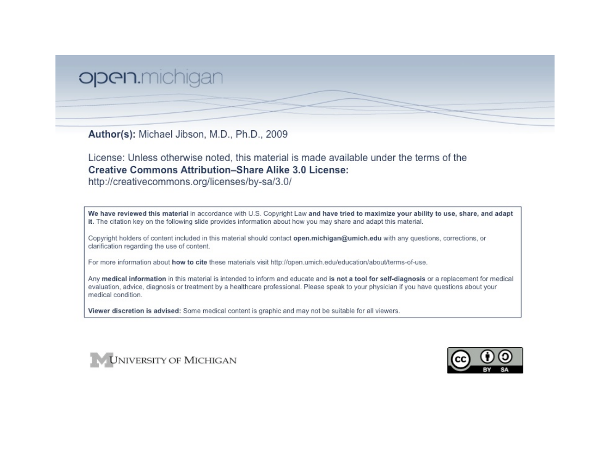# open.michigan

Author(s): Michael Jibson, M.D., Ph.D., 2009

License: Unless otherwise noted, this material is made available under the terms of the **Creative Commons Attribution-Share Alike 3.0 License:** 

http://creativecommons.org/licenses/by-sa/3.0/

We have reviewed this material in accordance with U.S. Copyright Law and have tried to maximize your ability to use, share, and adapt it. The citation key on the following slide provides information about how you may share and adapt this material.

Copyright holders of content included in this material should contact open.michigan@umich.edu with any questions, corrections, or clarification regarding the use of content.

For more information about how to cite these materials visit http://open.umich.edu/education/about/terms-of-use.

Any medical information in this material is intended to inform and educate and is not a tool for self-diagnosis or a replacement for medical evaluation, advice, diagnosis or treatment by a healthcare professional. Please speak to your physician if you have questions about your medical condition.

Viewer discretion is advised: Some medical content is graphic and may not be suitable for all viewers.



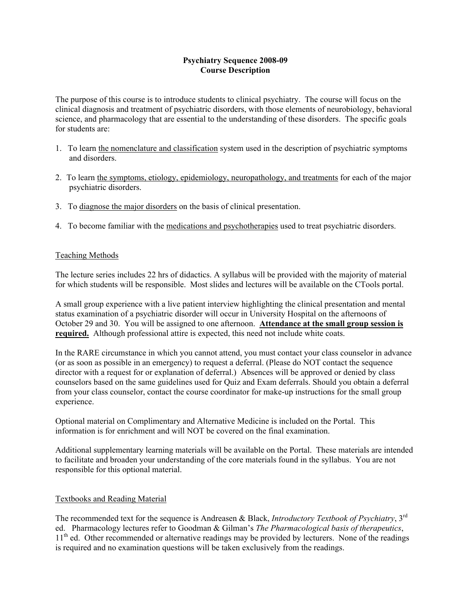## **Psychiatry Sequence 2008-09 Course Description**

The purpose of this course is to introduce students to clinical psychiatry. The course will focus on the clinical diagnosis and treatment of psychiatric disorders, with those elements of neurobiology, behavioral science, and pharmacology that are essential to the understanding of these disorders. The specific goals for students are:

- 1. To learn the nomenclature and classification system used in the description of psychiatric symptoms and disorders.
- 2. To learn the symptoms, etiology, epidemiology, neuropathology, and treatments for each of the major psychiatric disorders.
- 3. To diagnose the major disorders on the basis of clinical presentation.
- 4. To become familiar with the medications and psychotherapies used to treat psychiatric disorders.

#### Teaching Methods

The lecture series includes 22 hrs of didactics. A syllabus will be provided with the majority of material for which students will be responsible. Most slides and lectures will be available on the CTools portal.

A small group experience with a live patient interview highlighting the clinical presentation and mental status examination of a psychiatric disorder will occur in University Hospital on the afternoons of October 29 and 30. You will be assigned to one afternoon. **Attendance at the small group session is required.** Although professional attire is expected, this need not include white coats.

In the RARE circumstance in which you cannot attend, you must contact your class counselor in advance (or as soon as possible in an emergency) to request a deferral. (Please do NOT contact the sequence director with a request for or explanation of deferral.) Absences will be approved or denied by class counselors based on the same guidelines used for Quiz and Exam deferrals. Should you obtain a deferral from your class counselor, contact the course coordinator for make-up instructions for the small group experience.

Optional material on Complimentary and Alternative Medicine is included on the Portal. This information is for enrichment and will NOT be covered on the final examination.

Additional supplementary learning materials will be available on the Portal. These materials are intended to facilitate and broaden your understanding of the core materials found in the syllabus. You are not responsible for this optional material.

#### Textbooks and Reading Material

The recommended text for the sequence is Andreasen & Black, *Introductory Textbook of Psychiatry*, 3rd ed. Pharmacology lectures refer to Goodman & Gilman's *The Pharmacological basis of therapeutics*, 11<sup>th</sup> ed. Other recommended or alternative readings may be provided by lecturers. None of the readings is required and no examination questions will be taken exclusively from the readings.